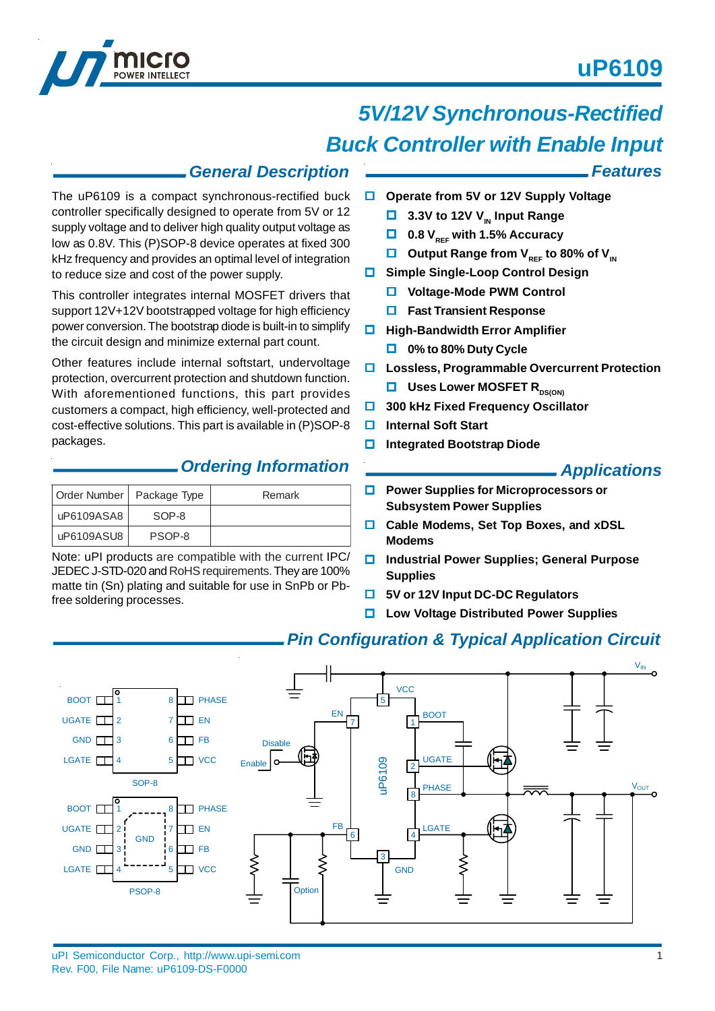*Features*



# *5V/12V Synchronous-Rectified Buck Controller with Enable Input*

### *General Description*

The uP6109 is a compact synchronous-rectified buck controller specifically designed to operate from 5V or 12 supply voltage and to deliver high quality output voltage as low as 0.8V. This (P)SOP-8 device operates at fixed 300 kHz frequency and provides an optimal level of integration to reduce size and cost of the power supply.

This controller integrates internal MOSFET drivers that support 12V+12V bootstrapped voltage for high efficiency power conversion. The bootstrap diode is built-in to simplify the circuit design and minimize external part count.

Other features include internal softstart, undervoltage protection, overcurrent protection and shutdown function. With aforementioned functions, this part provides customers a compact, high efficiency, well-protected and cost-effective solutions. This part is available in (P)SOP-8 packages.

### **Ordering Information Applications**

|            | Order Number   Package Type | Remark |
|------------|-----------------------------|--------|
| uP6109ASA8 | SOP-8                       |        |
| uP6109ASU8 | PSOP-8                      |        |

Note: uPI products are compatible with the current IPC/ JEDEC J-STD-020 and RoHS requirements. They are 100% matte tin (Sn) plating and suitable for use in SnPb or Pbfree soldering processes.

#### **Operate from 5V or 12V Supply Voltage**

- $\Box$  3.3V to 12V V<sub>IN</sub> Input Range
- **0.8 V<sub>RFF</sub> with 1.5% Accuracy**
- **Output Range from V<sub>REF</sub> to 80% of V<sub>IN</sub>**
- $\Box$  Simple Single-Loop Control Design
	- **Voltage-Mode PWM Control**
	- **Fast Transient Response**
- **High-Bandwidth Error Amplifier** 
	- **0% to 80% Duty Cycle**
- **Lossless, Programmable Overcurrent Protection**
	- **USES LOWER MOSFET RDS(ON)**
- $\Box$  **300 kHz Fixed Frequency Oscillator**
- **Internal Soft Start**
- **Integrated Bootstrap Diode**

- **Power Supplies for Microprocessors or Subsystem Power Supplies**
- **Cable Modems, Set Top Boxes, and xDSL Modems**
- **Industrial Power Supplies; General Purpose Supplies**
- **5V or 12V Input DC-DC Regulators**
- **Low Voltage Distributed Power Supplies**



### *Pin Configuration & Typical Application Circuit*

uPI Semiconductor Corp., http://www.upi-semi.com Rev. F00, File Name: uP6109-DS-F0000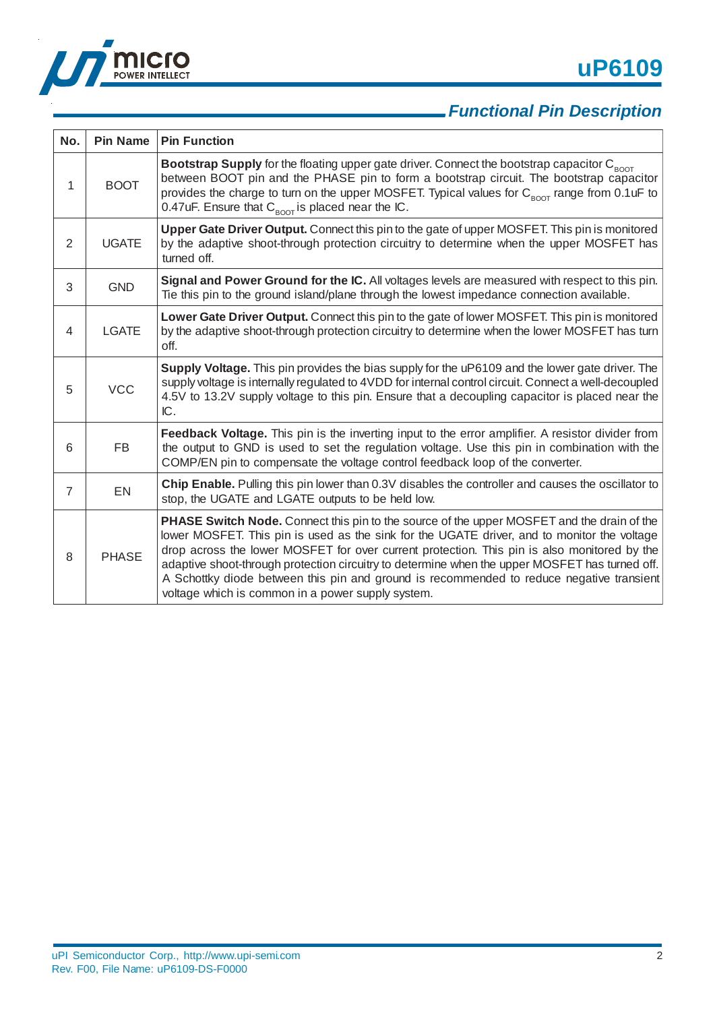



## *Functional Pin Description*

| No.            | <b>Pin Name</b> | <b>Pin Function</b>                                                                                                                                                                                                                                                                                                                                                                                                                                                                                                                         |
|----------------|-----------------|---------------------------------------------------------------------------------------------------------------------------------------------------------------------------------------------------------------------------------------------------------------------------------------------------------------------------------------------------------------------------------------------------------------------------------------------------------------------------------------------------------------------------------------------|
| 1              | <b>BOOT</b>     | <b>Bootstrap Supply</b> for the floating upper gate driver. Connect the bootstrap capacitor $C_{ROT}$<br>between BOOT pin and the PHASE pin to form a bootstrap circuit. The bootstrap capacitor<br>provides the charge to turn on the upper MOSFET. Typical values for $C_{\text{ROT}}$ range from 0.1uF to<br>0.47uF. Ensure that $C_{\text{ROT}}$ is placed near the IC.                                                                                                                                                                 |
| $\overline{2}$ | <b>UGATE</b>    | <b>Upper Gate Driver Output.</b> Connect this pin to the gate of upper MOSFET. This pin is monitored<br>by the adaptive shoot-through protection circuitry to determine when the upper MOSFET has<br>turned off.                                                                                                                                                                                                                                                                                                                            |
| 3              | <b>GND</b>      | Signal and Power Ground for the IC. All voltages levels are measured with respect to this pin.<br>Tie this pin to the ground island/plane through the lowest impedance connection available.                                                                                                                                                                                                                                                                                                                                                |
| 4              | <b>LGATE</b>    | Lower Gate Driver Output. Connect this pin to the gate of lower MOSFET. This pin is monitored<br>by the adaptive shoot-through protection circuitry to determine when the lower MOSFET has turn<br>off.                                                                                                                                                                                                                                                                                                                                     |
| 5              | <b>VCC</b>      | <b>Supply Voltage.</b> This pin provides the bias supply for the uP6109 and the lower gate driver. The<br>supply voltage is internally regulated to 4VDD for internal control circuit. Connect a well-decoupled<br>4.5V to 13.2V supply voltage to this pin. Ensure that a decoupling capacitor is placed near the<br>IC.                                                                                                                                                                                                                   |
| 6              | <b>FB</b>       | Feedback Voltage. This pin is the inverting input to the error amplifier. A resistor divider from<br>the output to GND is used to set the regulation voltage. Use this pin in combination with the<br>COMP/EN pin to compensate the voltage control feedback loop of the converter.                                                                                                                                                                                                                                                         |
| $\overline{7}$ | <b>EN</b>       | Chip Enable. Pulling this pin lower than 0.3V disables the controller and causes the oscillator to<br>stop, the UGATE and LGATE outputs to be held low.                                                                                                                                                                                                                                                                                                                                                                                     |
| 8              | <b>PHASE</b>    | PHASE Switch Node. Connect this pin to the source of the upper MOSFET and the drain of the<br>lower MOSFET. This pin is used as the sink for the UGATE driver, and to monitor the voltage<br>drop across the lower MOSFET for over current protection. This pin is also monitored by the<br>adaptive shoot-through protection circuitry to determine when the upper MOSFET has turned off.<br>A Schottky diode between this pin and ground is recommended to reduce negative transient<br>voltage which is common in a power supply system. |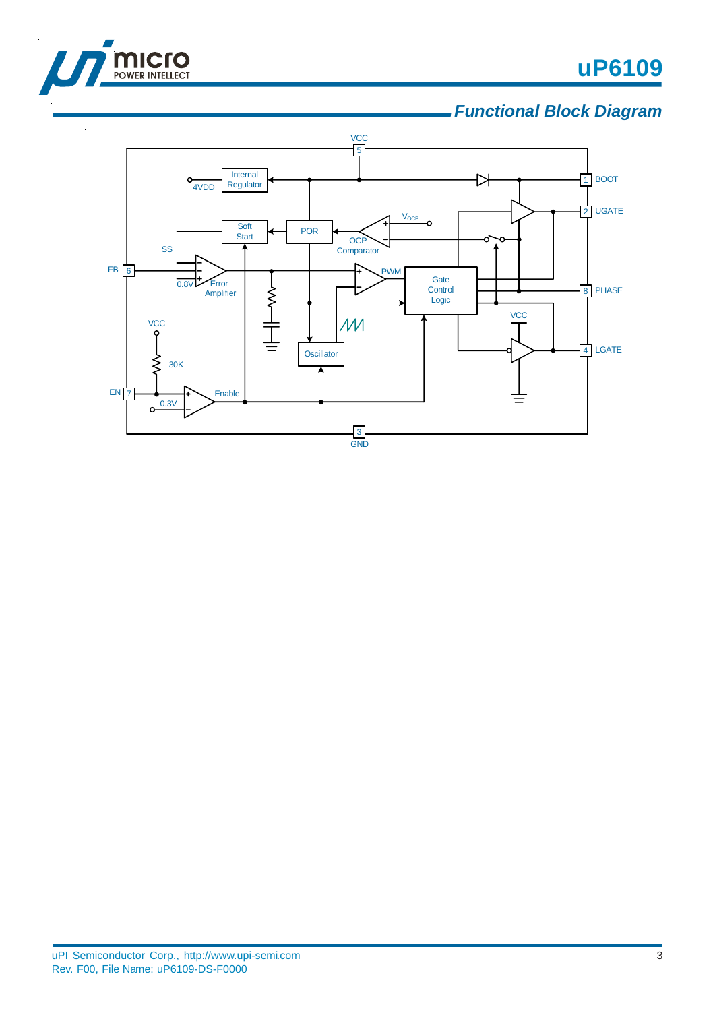



 $\overline{\phantom{a}}$ 

### *Functional Block Diagram*

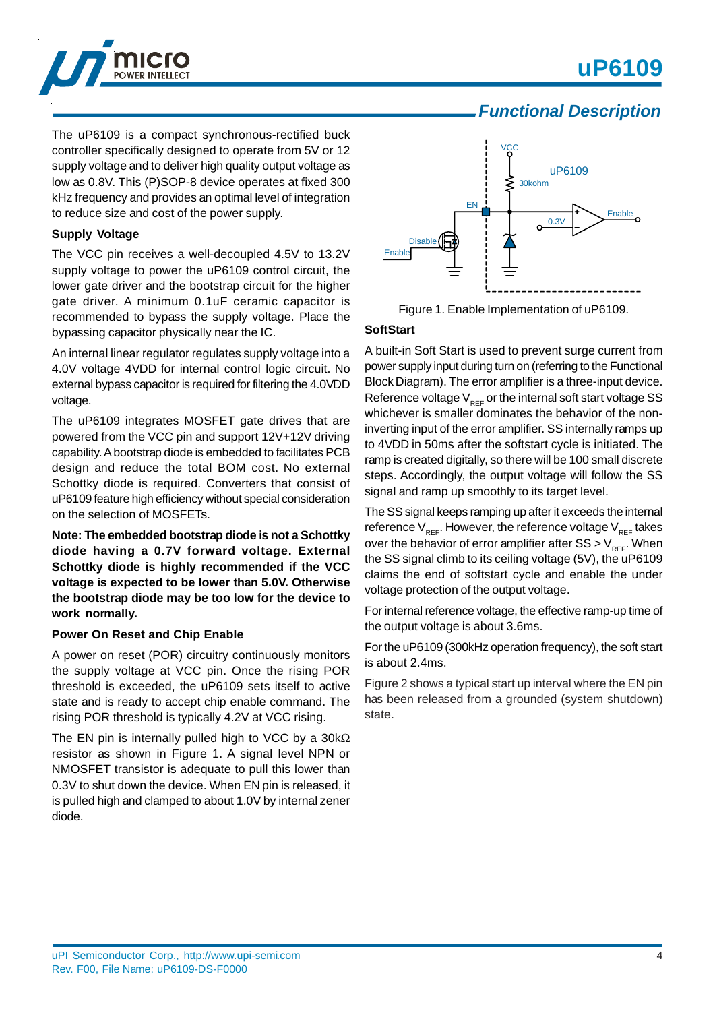

### *Functional Description*

The uP6109 is a compact synchronous-rectified buck controller specifically designed to operate from 5V or 12 supply voltage and to deliver high quality output voltage as low as 0.8V. This (P)SOP-8 device operates at fixed 300 kHz frequency and provides an optimal level of integration to reduce size and cost of the power supply.

#### **Supply Voltage**

The VCC pin receives a well-decoupled 4.5V to 13.2V supply voltage to power the uP6109 control circuit, the lower gate driver and the bootstrap circuit for the higher gate driver. A minimum 0.1uF ceramic capacitor is recommended to bypass the supply voltage. Place the bypassing capacitor physically near the IC.

An internal linear regulator regulates supply voltage into a 4.0V voltage 4VDD for internal control logic circuit. No external bypass capacitor is required for filtering the 4.0VDD voltage.

The uP6109 integrates MOSFET gate drives that are powered from the VCC pin and support 12V+12V driving capability. A bootstrap diode is embedded to facilitates PCB design and reduce the total BOM cost. No external Schottky diode is required. Converters that consist of uP6109 feature high efficiency without special consideration on the selection of MOSFETs.

**Note: The embedded bootstrap diode is not a Schottky diode having a 0.7V forward voltage. External Schottky diode is highly recommended if the VCC voltage is expected to be lower than 5.0V. Otherwise the bootstrap diode may be too low for the device to work normally.**

#### **Power On Reset and Chip Enable**

A power on reset (POR) circuitry continuously monitors the supply voltage at VCC pin. Once the rising POR threshold is exceeded, the uP6109 sets itself to active state and is ready to accept chip enable command. The rising POR threshold is typically 4.2V at VCC rising.

The EN pin is internally pulled high to VCC by a 30kΩ resistor as shown in Figure 1. A signal level NPN or NMOSFET transistor is adequate to pull this lower than 0.3V to shut down the device. When EN pin is released, it is pulled high and clamped to about 1.0V by internal zener diode.



Figure 1. Enable Implementation of uP6109.

#### **SoftStart**

A built-in Soft Start is used to prevent surge current from power supply input during turn on (referring to the Functional Block Diagram). The error amplifier is a three-input device. Reference voltage  $V_{REF}$  or the internal soft start voltage SS whichever is smaller dominates the behavior of the noninverting input of the error amplifier. SS internally ramps up to 4VDD in 50ms after the softstart cycle is initiated. The ramp is created digitally, so there will be 100 small discrete steps. Accordingly, the output voltage will follow the SS signal and ramp up smoothly to its target level.

The SS signal keeps ramping up after it exceeds the internal reference  $V_{RFF}$ . However, the reference voltage  $V_{REF}$  takes over the behavior of error amplifier after  $SS > V_{RF}$ . When the SS signal climb to its ceiling voltage (5V), the uP6109 claims the end of softstart cycle and enable the under voltage protection of the output voltage.

For internal reference voltage, the effective ramp-up time of the output voltage is about 3.6ms.

For the uP6109 (300kHz operation frequency), the soft start is about 2.4ms.

Figure 2 shows a typical start up interval where the EN pin has been released from a grounded (system shutdown) state.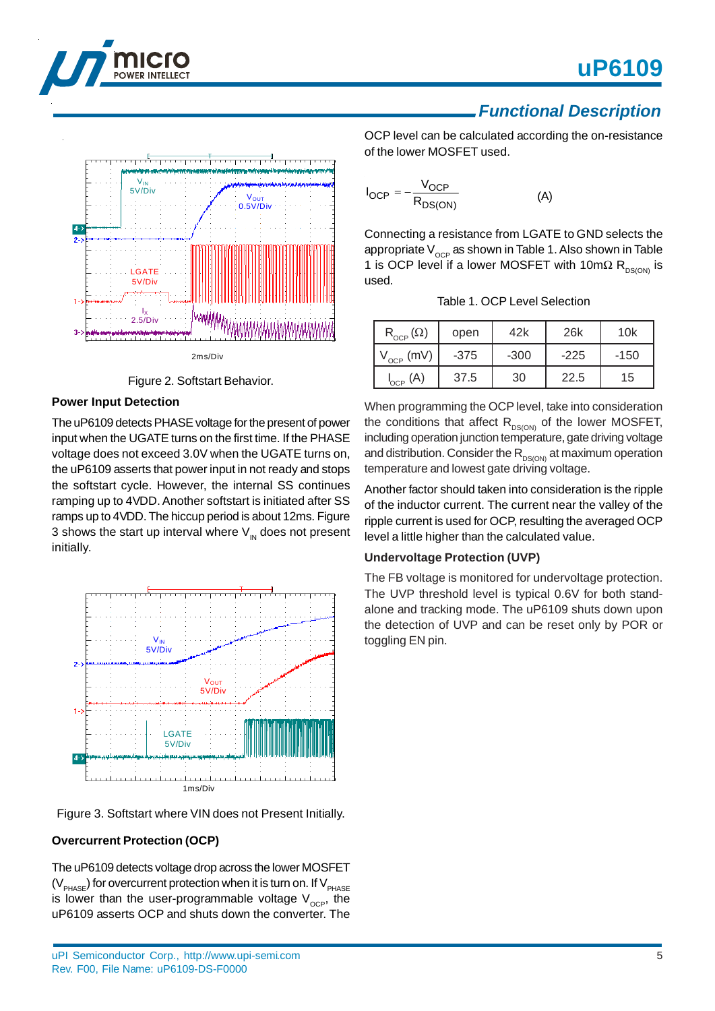





Figure 2. Softstart Behavior.

#### **Power Input Detection**

The uP6109 detects PHASE voltage for the present of power input when the UGATE turns on the first time. If the PHASE voltage does not exceed 3.0V when the UGATE turns on, the uP6109 asserts that power input in not ready and stops the softstart cycle. However, the internal SS continues ramping up to 4VDD. Another softstart is initiated after SS ramps up to 4VDD. The hiccup period is about 12ms. Figure 3 shows the start up interval where  $V_{\text{in}}$  does not present initially.



Figure 3. Softstart where VIN does not Present Initially.

### **Overcurrent Protection (OCP)**

The uP6109 detects voltage drop across the lower MOSFET  $(V_{\text{pHASE}})$  for overcurrent protection when it is turn on. If  $V_{\text{pHASE}}$ is lower than the user-programmable voltage  $V_{\text{OCP}}$ , the uP6109 asserts OCP and shuts down the converter. The

### *Functional Description*

OCP level can be calculated according the on-resistance of the lower MOSFET used.

$$
I_{OCP} = -\frac{V_{OCP}}{R_{DS(ON)}}
$$
 (A)

Connecting a resistance from LGATE to GND selects the appropriate  $V_{OCP}$  as shown in Table 1. Also shown in Table 1 is OCP level if a lower MOSFET with 10m $\Omega$  R<sub>DS(ON)</sub> is used.

| $R_{_{\rm OCP}}(\Omega)$ | open   | 42k    | 26k    | 10k    |
|--------------------------|--------|--------|--------|--------|
| $\rm V_{_{OCP}}$ (mV)    | $-375$ | $-300$ | $-225$ | $-150$ |
| $I_{_{\rm OCP}}(A)$      | 37.5   | 30     | 22.5   | 15     |

When programming the OCP level, take into consideration the conditions that affect  $R_{DS(ON)}$  of the lower MOSFET, including operation junction temperature, gate driving voltage and distribution. Consider the  $R_{DS(ON)}$  at maximum operation temperature and lowest gate driving voltage.

Another factor should taken into consideration is the ripple of the inductor current. The current near the valley of the ripple current is used for OCP, resulting the averaged OCP level a little higher than the calculated value.

#### **Undervoltage Protection (UVP)**

The FB voltage is monitored for undervoltage protection. The UVP threshold level is typical 0.6V for both standalone and tracking mode. The uP6109 shuts down upon the detection of UVP and can be reset only by POR or toggling EN pin.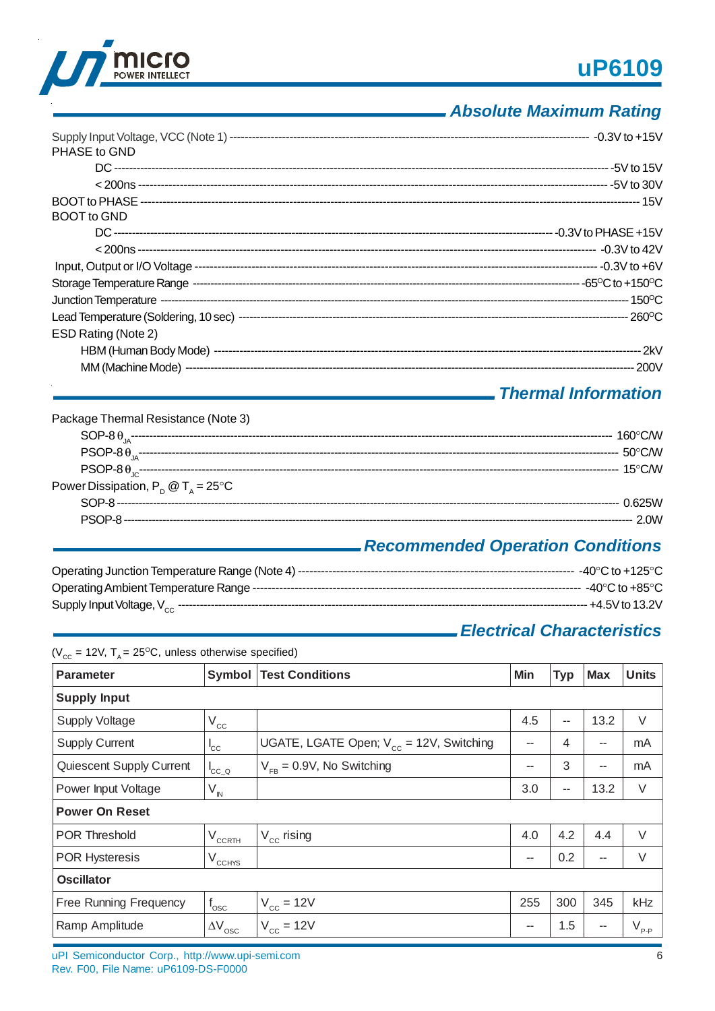



### - Absolute Maximum Rating

| PHASE to GND        |  |
|---------------------|--|
|                     |  |
|                     |  |
|                     |  |
| <b>BOOT</b> to GND  |  |
|                     |  |
|                     |  |
|                     |  |
|                     |  |
|                     |  |
|                     |  |
| ESD Rating (Note 2) |  |
|                     |  |
|                     |  |

### Thermal Information

| Package Thermal Resistance (Note 3)         |  |
|---------------------------------------------|--|
|                                             |  |
|                                             |  |
|                                             |  |
| Power Dissipation, $P_p @ T_a = 25^\circ C$ |  |
|                                             |  |
|                                             |  |
|                                             |  |

### - Recommended Operation Conditions

### - Electrical Characteristics

| ( $V_{cc}$ = 12V, T <sub>A</sub> = 25 <sup>o</sup> C, unless otherwise specified) |                             |                                               |     |            |            |                             |  |
|-----------------------------------------------------------------------------------|-----------------------------|-----------------------------------------------|-----|------------|------------|-----------------------------|--|
| <b>Parameter</b>                                                                  | Symbol                      | <b>Test Conditions</b>                        | Min | <b>Typ</b> | <b>Max</b> | <b>Units</b>                |  |
| <b>Supply Input</b>                                                               |                             |                                               |     |            |            |                             |  |
| <b>Supply Voltage</b>                                                             | $V_{cc}$                    |                                               | 4.5 | --         | 13.2       | $\vee$                      |  |
| <b>Supply Current</b>                                                             | $cc$                        | UGATE, LGATE Open; $V_{cc} = 12V$ , Switching | --  | 4          | $- -$      | mA                          |  |
| Quiescent Supply Current                                                          | $\mathsf{I}_{\text{CC\_Q}}$ | $V_{FB} = 0.9V$ , No Switching                | --  | 3          | $- -$      | mA                          |  |
| Power Input Voltage                                                               | $V_{\rm IN}$                |                                               | 3.0 | --         | 13.2       | V                           |  |
| <b>Power On Reset</b>                                                             |                             |                                               |     |            |            |                             |  |
| <b>POR Threshold</b>                                                              | $V_{CCRTH}$                 | $V_{\rm cc}$ rising                           | 4.0 | 4.2        | 4.4        | $\vee$                      |  |
| <b>POR Hysteresis</b>                                                             | $V_{CCHYS}$                 |                                               | --  | 0.2        | $- -$      | $\vee$                      |  |
| <b>Oscillator</b>                                                                 |                             |                                               |     |            |            |                             |  |
| Free Running Frequency                                                            | $f_{\rm osc}$               | $V_{cc}$ = 12V                                | 255 | 300        | 345        | kHz                         |  |
| Ramp Amplitude                                                                    | $\Delta V$ <sub>OSC</sub>   | $V_{cc}$ = 12V                                | --  | 1.5        | $- -$      | $\mathsf{V}_{\mathsf{p.p}}$ |  |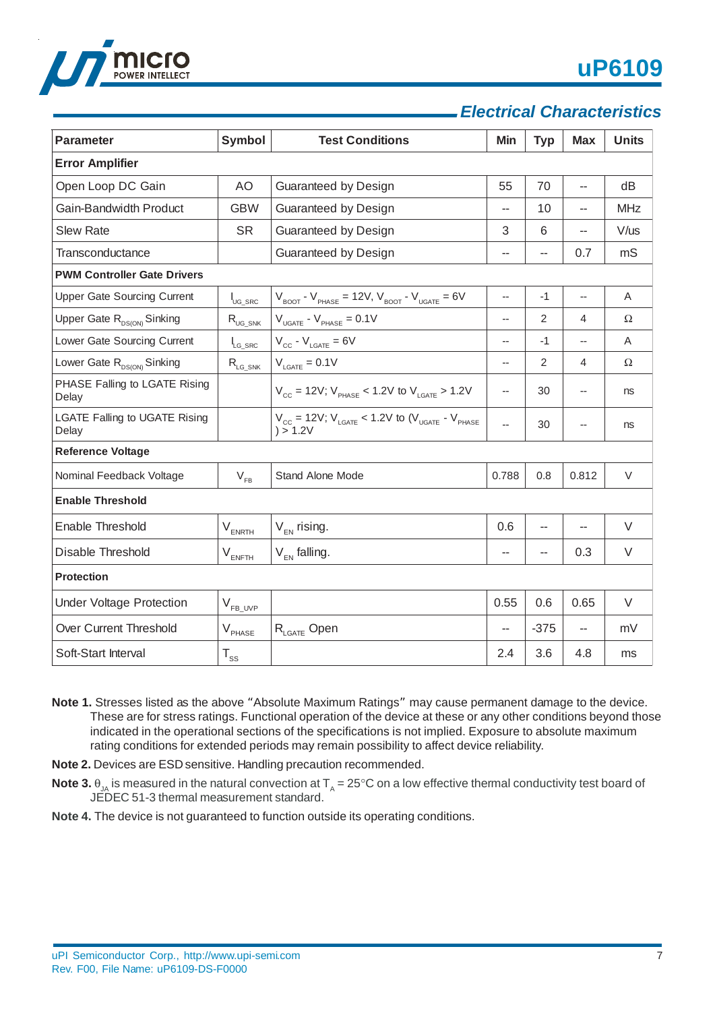

### *Electrical Characteristics*

| <b>Parameter</b>                              | Symbol                             | <b>Test Conditions</b>                                                                                    | Min                      | <b>Typ</b>     | <b>Max</b>               | <b>Units</b> |  |
|-----------------------------------------------|------------------------------------|-----------------------------------------------------------------------------------------------------------|--------------------------|----------------|--------------------------|--------------|--|
| <b>Error Amplifier</b>                        |                                    |                                                                                                           |                          |                |                          |              |  |
| Open Loop DC Gain                             | AO                                 | Guaranteed by Design                                                                                      | 55                       | 70             | --                       | dB           |  |
| <b>Gain-Bandwidth Product</b>                 | <b>GBW</b>                         | Guaranteed by Design                                                                                      | $\overline{a}$           | 10             | $\overline{a}$           | <b>MHz</b>   |  |
| <b>Slew Rate</b>                              | <b>SR</b>                          | Guaranteed by Design                                                                                      | 3                        | 6              | --                       | $V/$ us      |  |
| Transconductance                              |                                    | Guaranteed by Design                                                                                      | --                       | $-$            | 0.7                      | mS           |  |
| <b>PWM Controller Gate Drivers</b>            |                                    |                                                                                                           |                          |                |                          |              |  |
| <b>Upper Gate Sourcing Current</b>            | $I_{\text{UG} \, \text{SRC}}$      | $V_{\text{foot}}$ - $V_{\text{PHASE}}$ = 12V, $V_{\text{foot}}$ - $V_{\text{ugate}}$ = 6V                 | $\overline{\phantom{a}}$ | $-1$           | $\overline{\phantom{a}}$ | A            |  |
| Upper Gate R <sub>DS(ON)</sub> Sinking        | $\mathsf{R}_{\mathsf{UG\_SNK}}$    | $V_{UGATE} - V_{PHASE} = 0.1 V$                                                                           | $\overline{\phantom{a}}$ | $\overline{2}$ | 4                        | Ω            |  |
| Lower Gate Sourcing Current                   | $I_{LG\_SRC}$                      | $V_{\text{cc}}$ - $V_{\text{LGATE}}$ = 6V                                                                 | --                       | $-1$           | --                       | A            |  |
| Lower Gate R <sub>DS(ON)</sub> Sinking        | $\mathsf{R}_{\textsf{LG\_SNK}}$    | $V_{LGATE} = 0.1 V$                                                                                       | --                       | 2              | 4                        | Ω            |  |
| PHASE Falling to LGATE Rising<br>Delay        |                                    | $V_{\text{cc}}$ = 12V; $V_{\text{PHASE}}$ < 1.2V to $V_{\text{LGATE}}$ > 1.2V                             | $\overline{\phantom{a}}$ | 30             | $\overline{\phantom{a}}$ | ns           |  |
| <b>LGATE Falling to UGATE Rising</b><br>Delay |                                    | $V_{\text{cc}}$ = 12V; $V_{\text{LGATE}}$ < 1.2V to ( $V_{\text{UGATE}}$ - $V_{\text{PHASE}}$<br>) > 1.2V | $\overline{a}$           | 30             |                          | ns           |  |
| <b>Reference Voltage</b>                      |                                    |                                                                                                           |                          |                |                          |              |  |
| Nominal Feedback Voltage                      | $V_{FB}$                           | <b>Stand Alone Mode</b>                                                                                   | 0.788                    | 0.8            | 0.812                    | V            |  |
| <b>Enable Threshold</b>                       |                                    |                                                                                                           |                          |                |                          |              |  |
| Enable Threshold                              | $\mathsf{V}_{\text{\tiny{ENRTH}}}$ | $V_{FN}$ rising.                                                                                          | 0.6                      |                |                          | $\vee$       |  |
| Disable Threshold                             | $\mathsf{V}_{\mathsf{ENFTH}}$      | $V_{FN}$ falling.                                                                                         | --                       | $-$            | 0.3                      | $\vee$       |  |
| <b>Protection</b>                             |                                    |                                                                                                           |                          |                |                          |              |  |
| <b>Under Voltage Protection</b>               | $V_{FB\_UVP}$                      |                                                                                                           | 0.55                     | 0.6            | 0.65                     | $\vee$       |  |
| Over Current Threshold                        | $\mathsf{V}_{\mathsf{PHASE}}$      | R <sub>LGATE</sub> Open                                                                                   |                          | $-375$         |                          | mV           |  |
| Soft-Start Interval                           | $\mathsf{T}_{\mathsf{ss}}$         |                                                                                                           | 2.4                      | 3.6            | 4.8                      | ms           |  |

- **Note 1.** Stresses listed as the above "Absolute Maximum Ratings" may cause permanent damage to the device. These are for stress ratings. Functional operation of the device at these or any other conditions beyond those indicated in the operational sections of the specifications is not implied. Exposure to absolute maximum rating conditions for extended periods may remain possibility to affect device reliability.
- **Note 2.** Devices are ESD sensitive. Handling precaution recommended.
- **Note 3.**  $\theta_{JA}$  is measured in the natural convection at  $T_A = 25^{\circ}$ C on a low effective thermal conductivity test board of JEDEC 51-3 thermal measurement standard.
- **Note 4.** The device is not guaranteed to function outside its operating conditions.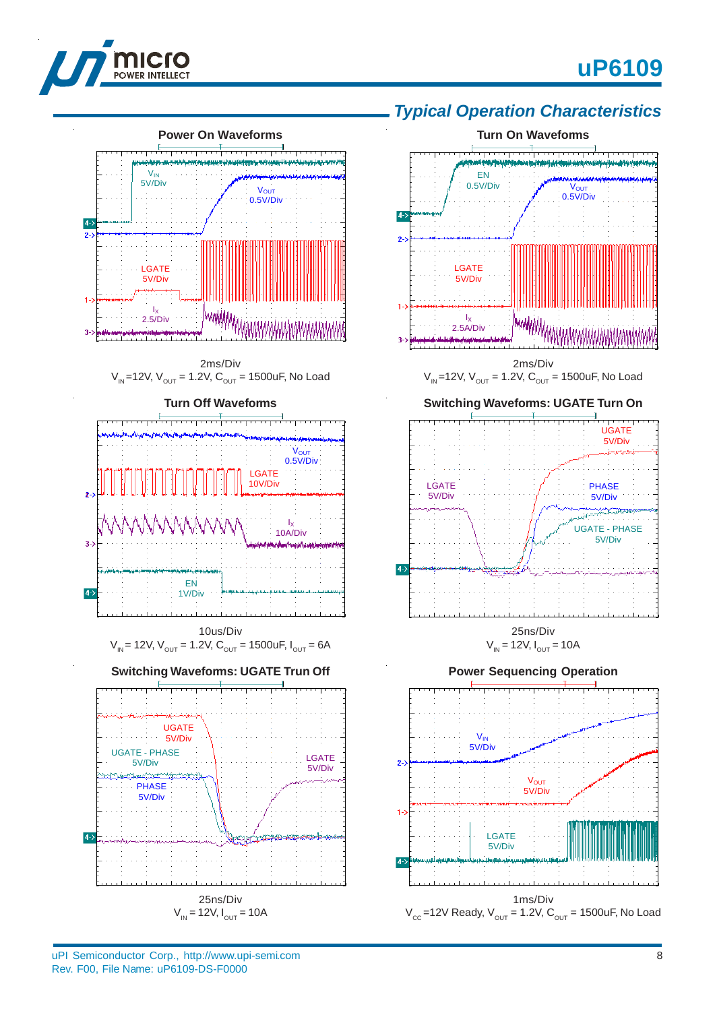



#### 2ms/Div  $V_{IN}$ =12V,  $V_{OUT}$  = 1.2V,  $C_{OUT}$  = 1500uF, No Load



#### 10us/Div  $V_{\text{IN}}$  = 12V,  $V_{\text{OUT}}$  = 1.2V,  $C_{\text{OUT}}$  = 1500uF,  $I_{\text{OUT}}$  = 6A

#### **Switching Waveforms: UGATE Trun Off**



### *Typical Operation Characteristics*



 $V_{IN} = 12V, I_{OUT} = 10A$ 

#### **Power Sequencing Operation**



uPI Semiconductor Corp., http://www.upi-semi.com Rev. F00, File Name: uP6109-DS-F0000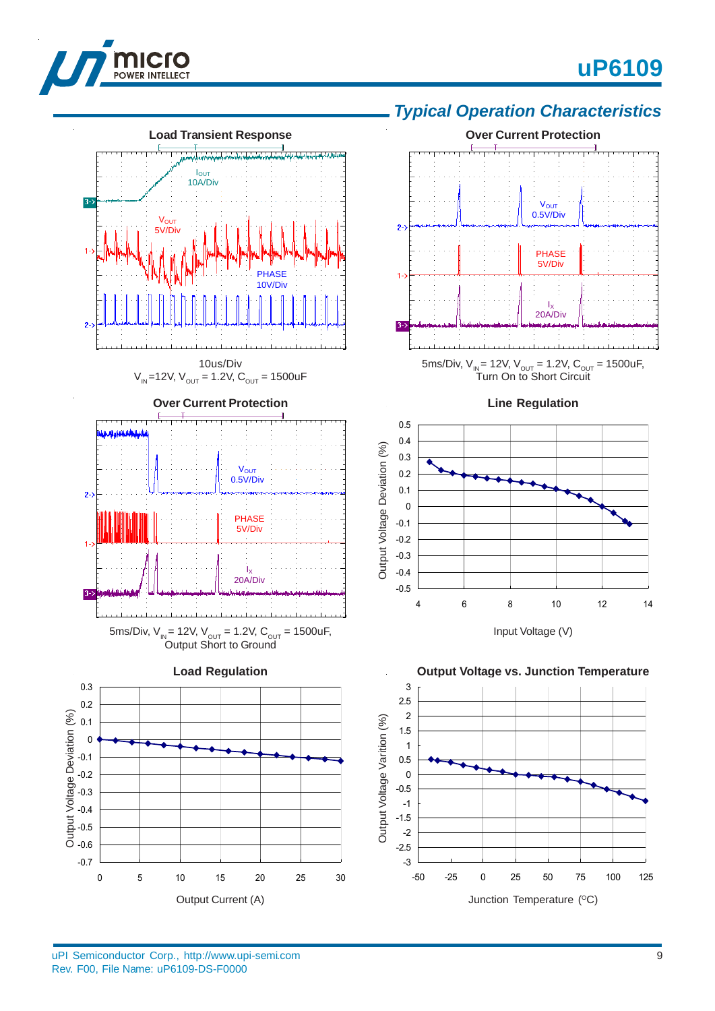



### *Typical Operation Characteristics*





Input Voltage (V)



-50 -25 0 25 50 75 100 125

Junction Temperature (°C)

uPI Semiconductor Corp., http://www.upi-semi.com Rev. F00, File Name: uP6109-DS-F0000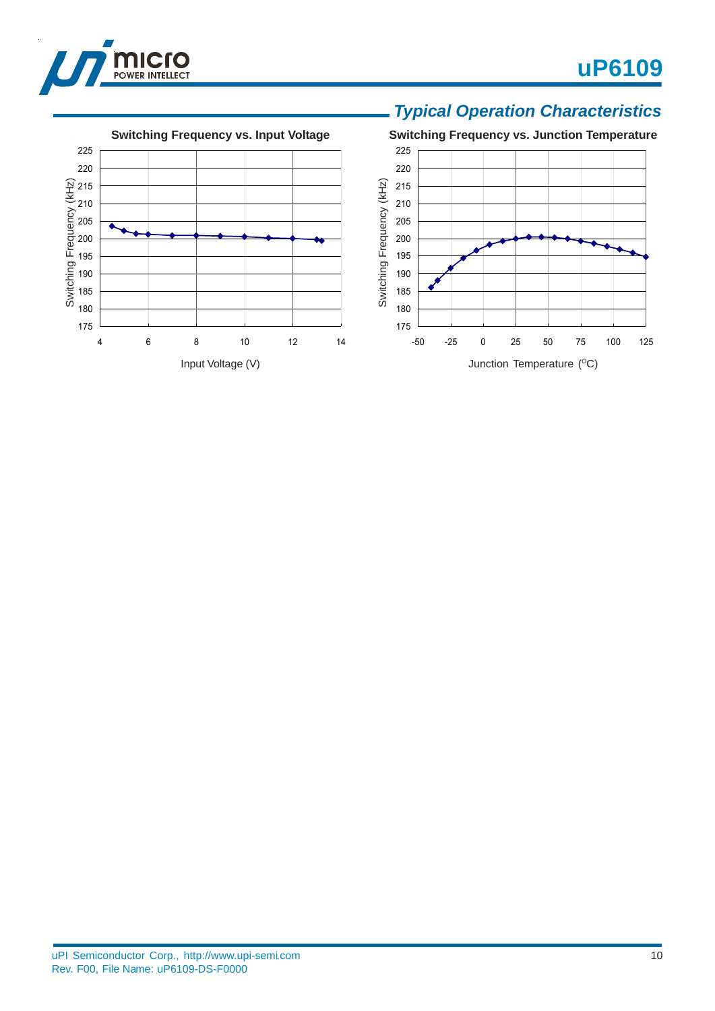

# **uP6109**



### *Typical Operation Characteristics*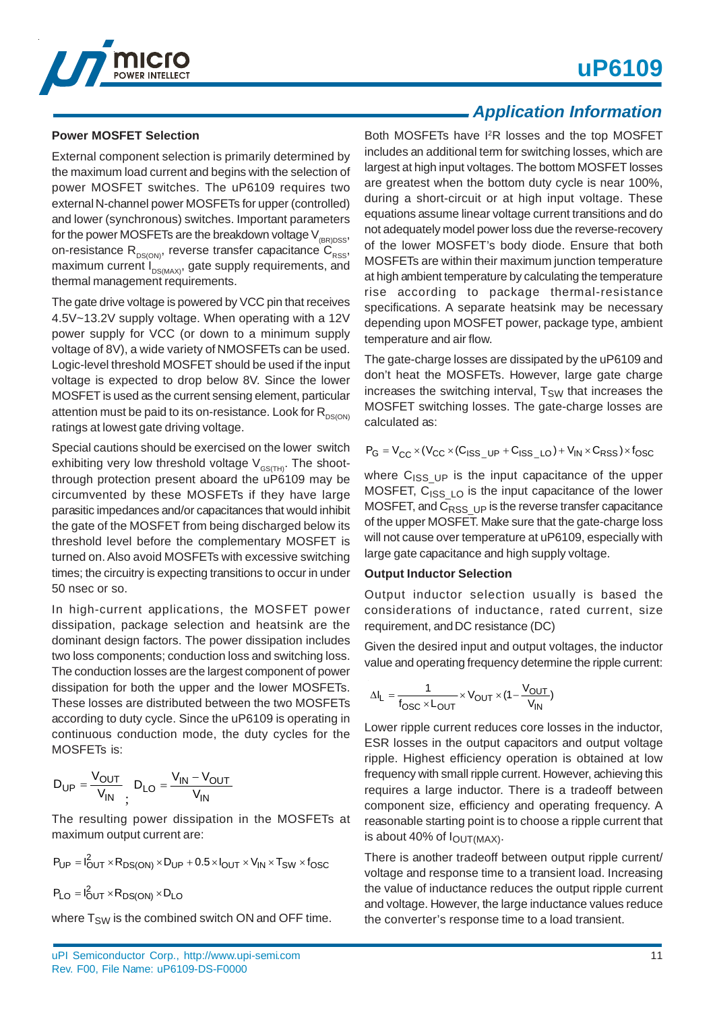

#### **Power MOSFET Selection**

External component selection is primarily determined by the maximum load current and begins with the selection of power MOSFET switches. The uP6109 requires two external N-channel power MOSFETs for upper (controlled) and lower (synchronous) switches. Important parameters for the power MOSFETs are the breakdown voltage  $V_{(BR)DSS}$ , on-resistance  $R_{DS(ON)}$ , reverse transfer capacitance  $C_{RSS}$ , maximum current  $I_{DS(MAX)}$ , gate supply requirements, and thermal management requirements.

The gate drive voltage is powered by VCC pin that receives 4.5V~13.2V supply voltage. When operating with a 12V power supply for VCC (or down to a minimum supply voltage of 8V), a wide variety of NMOSFETs can be used. Logic-level threshold MOSFET should be used if the input voltage is expected to drop below 8V. Since the lower MOSFET is used as the current sensing element, particular attention must be paid to its on-resistance. Look for  $R_{DS(OM)}$ ratings at lowest gate driving voltage.

Special cautions should be exercised on the lower switch exhibiting very low threshold voltage  $V_{\text{GSTH}}$ . The shootthrough protection present aboard the uP6109 may be circumvented by these MOSFETs if they have large parasitic impedances and/or capacitances that would inhibit the gate of the MOSFET from being discharged below its threshold level before the complementary MOSFET is turned on. Also avoid MOSFETs with excessive switching times; the circuitry is expecting transitions to occur in under 50 nsec or so.

In high-current applications, the MOSFET power dissipation, package selection and heatsink are the dominant design factors. The power dissipation includes two loss components; conduction loss and switching loss. The conduction losses are the largest component of power dissipation for both the upper and the lower MOSFETs. These losses are distributed between the two MOSFETs according to duty cycle. Since the uP6109 is operating in continuous conduction mode, the duty cycles for the MOSFETs is:

$$
D_{UP} = \frac{V_{OUT}}{V_{IN}} \cdot D_{LO} = \frac{V_{IN} - V_{OUT}}{V_{IN}}
$$

The resulting power dissipation in the MOSFETs at maximum output current are:

$$
P_{UP} = I_{OUT}^2 \times R_{DS(ON)} \times D_{UP} + 0.5 \times I_{OUT} \times V_{IN} \times T_{SW} \times f_{OSC}
$$

$$
P_{LO} = I_{OUT}^2 \times R_{DS(ON)} \times D_{LO}
$$

where  $T_{SW}$  is the combined switch ON and OFF time.

### *Application Information*

Both MOSFETs have I2R losses and the top MOSFET includes an additional term for switching losses, which are largest at high input voltages. The bottom MOSFET losses are greatest when the bottom duty cycle is near 100%, during a short-circuit or at high input voltage. These equations assume linear voltage current transitions and do not adequately model power loss due the reverse-recovery of the lower MOSFET's body diode. Ensure that both MOSFETs are within their maximum junction temperature at high ambient temperature by calculating the temperature rise according to package thermal-resistance specifications. A separate heatsink may be necessary depending upon MOSFET power, package type, ambient temperature and air flow.

The gate-charge losses are dissipated by the uP6109 and don't heat the MOSFETs. However, large gate charge increases the switching interval,  $T_{SW}$  that increases the MOSFET switching losses. The gate-charge losses are calculated as:

$$
P_G = V_{CC} \times (V_{CC} \times (C_{ISS\_UP} + C_{ISS\_LO}) + V_{IN} \times C_{RSS}) \times f_{OSC}
$$

where  $C_{ISSUP}$  is the input capacitance of the upper MOSFET,  $C_{ISS\_LO}$  is the input capacitance of the lower MOSFET, and  $C<sub>RSS</sub>$  up is the reverse transfer capacitance of the upper MOSFET. Make sure that the gate-charge loss will not cause over temperature at uP6109, especially with large gate capacitance and high supply voltage.

#### **Output Inductor Selection**

Output inductor selection usually is based the considerations of inductance, rated current, size requirement, and DC resistance (DC)

Given the desired input and output voltages, the inductor value and operating frequency determine the ripple current:

$$
\Delta I_L = \frac{1}{f_{OSC} \times L_{OUT}} \times V_{OUT} \times (1 - \frac{V_{OUT}}{V_{IN}})
$$

Lower ripple current reduces core losses in the inductor, ESR losses in the output capacitors and output voltage ripple. Highest efficiency operation is obtained at low frequency with small ripple current. However, achieving this requires a large inductor. There is a tradeoff between component size, efficiency and operating frequency. A reasonable starting point is to choose a ripple current that is about 40% of  $I_{\text{OUT}(MAX)}$ .

There is another tradeoff between output ripple current/ voltage and response time to a transient load. Increasing the value of inductance reduces the output ripple current and voltage. However, the large inductance values reduce the converter's response time to a load transient.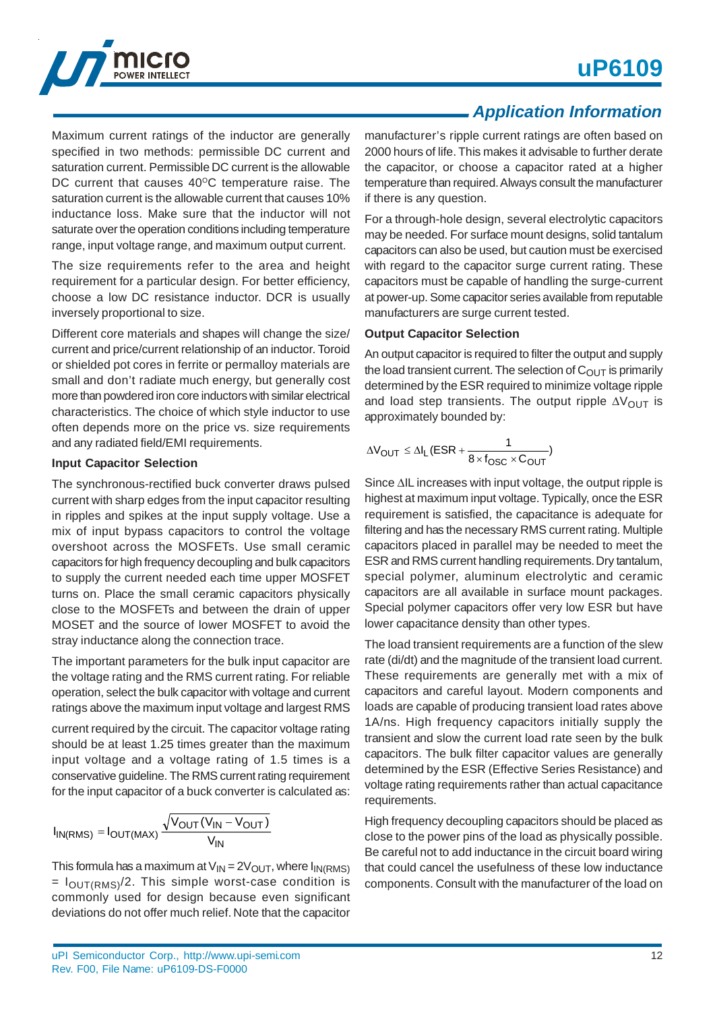

Maximum current ratings of the inductor are generally specified in two methods: permissible DC current and saturation current. Permissible DC current is the allowable DC current that causes  $40^{\circ}$ C temperature raise. The saturation current is the allowable current that causes 10% inductance loss. Make sure that the inductor will not saturate over the operation conditions including temperature range, input voltage range, and maximum output current.

The size requirements refer to the area and height requirement for a particular design. For better efficiency, choose a low DC resistance inductor. DCR is usually inversely proportional to size.

Different core materials and shapes will change the size/ current and price/current relationship of an inductor. Toroid or shielded pot cores in ferrite or permalloy materials are small and don't radiate much energy, but generally cost more than powdered iron core inductors with similar electrical characteristics. The choice of which style inductor to use often depends more on the price vs. size requirements and any radiated field/EMI requirements.

#### **Input Capacitor Selection**

The synchronous-rectified buck converter draws pulsed current with sharp edges from the input capacitor resulting in ripples and spikes at the input supply voltage. Use a mix of input bypass capacitors to control the voltage overshoot across the MOSFETs. Use small ceramic capacitors for high frequency decoupling and bulk capacitors to supply the current needed each time upper MOSFET turns on. Place the small ceramic capacitors physically close to the MOSFETs and between the drain of upper MOSET and the source of lower MOSFET to avoid the stray inductance along the connection trace.

The important parameters for the bulk input capacitor are the voltage rating and the RMS current rating. For reliable operation, select the bulk capacitor with voltage and current ratings above the maximum input voltage and largest RMS

current required by the circuit. The capacitor voltage rating should be at least 1.25 times greater than the maximum input voltage and a voltage rating of 1.5 times is a conservative guideline. The RMS current rating requirement for the input capacitor of a buck converter is calculated as:

$$
I_{IN(RMS)} = I_{OUT(MAX)} \frac{\sqrt{V_{OUT}(V_{IN} - V_{OUT})}}{V_{IN}}
$$

This formula has a maximum at  $V_{IN} = 2V_{OUT}$ , where  $I_{IN(RMS)}$  $= I_{\text{OUT(RMS)}}/2$ . This simple worst-case condition is commonly used for design because even significant deviations do not offer much relief. Note that the capacitor

### *Application Information*

manufacturer's ripple current ratings are often based on 2000 hours of life. This makes it advisable to further derate the capacitor, or choose a capacitor rated at a higher temperature than required. Always consult the manufacturer if there is any question.

For a through-hole design, several electrolytic capacitors may be needed. For surface mount designs, solid tantalum capacitors can also be used, but caution must be exercised with regard to the capacitor surge current rating. These capacitors must be capable of handling the surge-current at power-up. Some capacitor series available from reputable manufacturers are surge current tested.

#### **Output Capacitor Selection**

An output capacitor is required to filter the output and supply the load transient current. The selection of  $C_{\text{OUT}}$  is primarily determined by the ESR required to minimize voltage ripple and load step transients. The output ripple  $\Delta V_{\text{OUT}}$  is approximately bounded by:

$$
\Delta V_{OUT} \leq \Delta I_L (ESR + \frac{1}{8 \times f_{OSC} \times C_{OUT}})
$$

Since ΔIL increases with input voltage, the output ripple is highest at maximum input voltage. Typically, once the ESR requirement is satisfied, the capacitance is adequate for filtering and has the necessary RMS current rating. Multiple capacitors placed in parallel may be needed to meet the ESR and RMS current handling requirements. Dry tantalum, special polymer, aluminum electrolytic and ceramic capacitors are all available in surface mount packages. Special polymer capacitors offer very low ESR but have lower capacitance density than other types.

The load transient requirements are a function of the slew rate (di/dt) and the magnitude of the transient load current. These requirements are generally met with a mix of capacitors and careful layout. Modern components and loads are capable of producing transient load rates above 1A/ns. High frequency capacitors initially supply the transient and slow the current load rate seen by the bulk capacitors. The bulk filter capacitor values are generally determined by the ESR (Effective Series Resistance) and voltage rating requirements rather than actual capacitance requirements.

High frequency decoupling capacitors should be placed as close to the power pins of the load as physically possible. Be careful not to add inductance in the circuit board wiring that could cancel the usefulness of these low inductance components. Consult with the manufacturer of the load on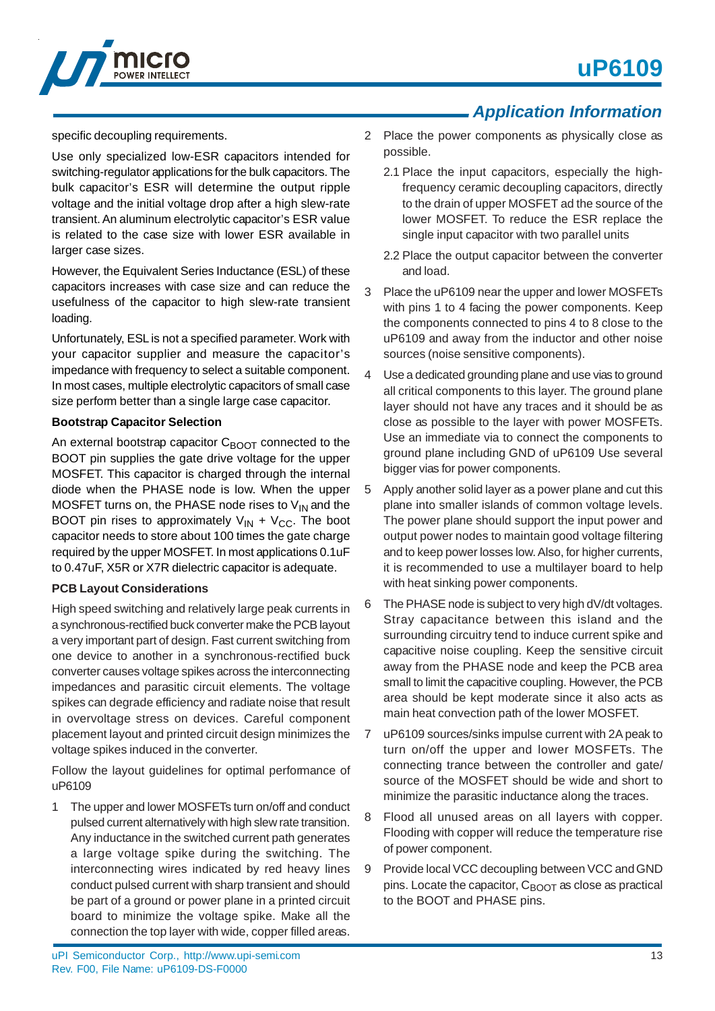

specific decoupling requirements.

Use only specialized low-ESR capacitors intended for switching-regulator applications for the bulk capacitors. The bulk capacitor's ESR will determine the output ripple voltage and the initial voltage drop after a high slew-rate transient. An aluminum electrolytic capacitor's ESR value is related to the case size with lower ESR available in larger case sizes.

However, the Equivalent Series Inductance (ESL) of these capacitors increases with case size and can reduce the usefulness of the capacitor to high slew-rate transient loading.

Unfortunately, ESL is not a specified parameter. Work with your capacitor supplier and measure the capacitor's impedance with frequency to select a suitable component. In most cases, multiple electrolytic capacitors of small case size perform better than a single large case capacitor.

#### **Bootstrap Capacitor Selection**

An external bootstrap capacitor C<sub>BOOT</sub> connected to the BOOT pin supplies the gate drive voltage for the upper MOSFET. This capacitor is charged through the internal diode when the PHASE node is low. When the upper MOSFET turns on, the PHASE node rises to  $V_{IN}$  and the BOOT pin rises to approximately  $V_{IN} + V_{CC}$ . The boot capacitor needs to store about 100 times the gate charge required by the upper MOSFET. In most applications 0.1uF to 0.47uF, X5R or X7R dielectric capacitor is adequate.

#### **PCB Layout Considerations**

High speed switching and relatively large peak currents in a synchronous-rectified buck converter make the PCB layout a very important part of design. Fast current switching from one device to another in a synchronous-rectified buck converter causes voltage spikes across the interconnecting impedances and parasitic circuit elements. The voltage spikes can degrade efficiency and radiate noise that result in overvoltage stress on devices. Careful component placement layout and printed circuit design minimizes the voltage spikes induced in the converter.

Follow the layout guidelines for optimal performance of uP6109

1 The upper and lower MOSFETs turn on/off and conduct pulsed current alternatively with high slew rate transition. Any inductance in the switched current path generates a large voltage spike during the switching. The interconnecting wires indicated by red heavy lines conduct pulsed current with sharp transient and should be part of a ground or power plane in a printed circuit board to minimize the voltage spike. Make all the connection the top layer with wide, copper filled areas.

### *Application Information*

- 2 Place the power components as physically close as possible.
	- 2.1 Place the input capacitors, especially the highfrequency ceramic decoupling capacitors, directly to the drain of upper MOSFET ad the source of the lower MOSFET. To reduce the ESR replace the single input capacitor with two parallel units
	- 2.2 Place the output capacitor between the converter and load.
- 3 Place the uP6109 near the upper and lower MOSFETs with pins 1 to 4 facing the power components. Keep the components connected to pins 4 to 8 close to the uP6109 and away from the inductor and other noise sources (noise sensitive components).
- 4 Use a dedicated grounding plane and use vias to ground all critical components to this layer. The ground plane layer should not have any traces and it should be as close as possible to the layer with power MOSFETs. Use an immediate via to connect the components to ground plane including GND of uP6109 Use several bigger vias for power components.
- 5 Apply another solid layer as a power plane and cut this plane into smaller islands of common voltage levels. The power plane should support the input power and output power nodes to maintain good voltage filtering and to keep power losses low. Also, for higher currents, it is recommended to use a multilayer board to help with heat sinking power components.
- 6 The PHASE node is subject to very high dV/dt voltages. Stray capacitance between this island and the surrounding circuitry tend to induce current spike and capacitive noise coupling. Keep the sensitive circuit away from the PHASE node and keep the PCB area small to limit the capacitive coupling. However, the PCB area should be kept moderate since it also acts as main heat convection path of the lower MOSFET.
- 7 uP6109 sources/sinks impulse current with 2A peak to turn on/off the upper and lower MOSFETs. The connecting trance between the controller and gate/ source of the MOSFET should be wide and short to minimize the parasitic inductance along the traces.
- 8 Flood all unused areas on all layers with copper. Flooding with copper will reduce the temperature rise of power component.
- 9 Provide local VCC decoupling between VCC and GND pins. Locate the capacitor,  $C_{\text{BOOT}}$  as close as practical to the BOOT and PHASE pins.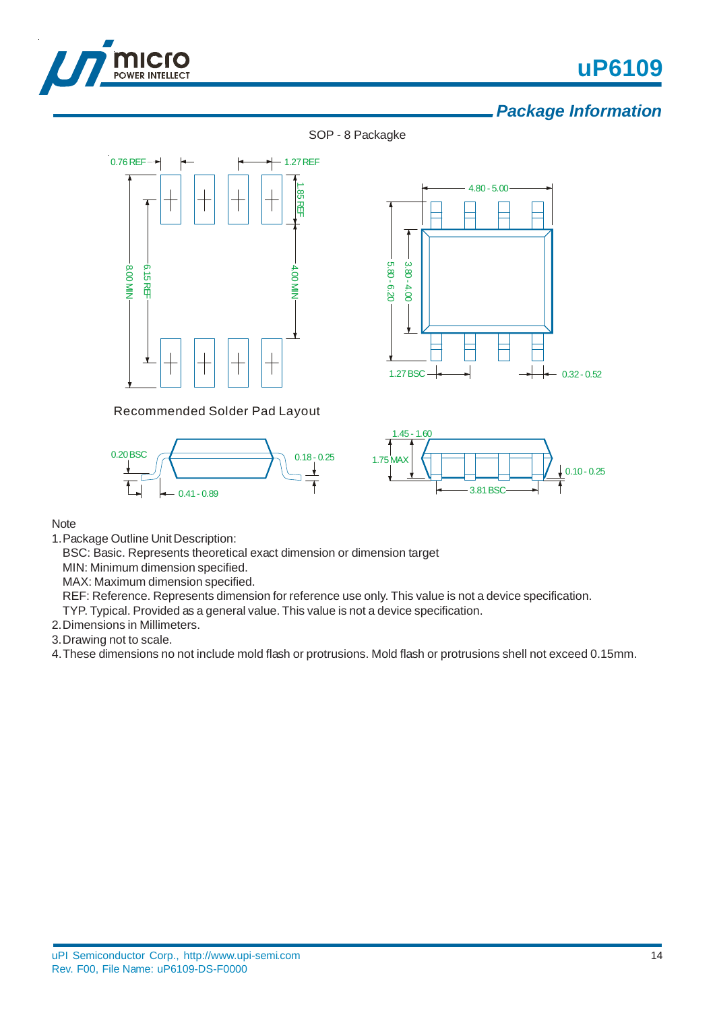

# **uP6109**

### *Package Information*

SOP - 8 Packagke



Recommended Solder Pad Layout







Note

1.Package Outline Unit Description:

BSC: Basic. Represents theoretical exact dimension or dimension target

MIN: Minimum dimension specified.

MAX: Maximum dimension specified.

REF: Reference. Represents dimension for reference use only. This value is not a device specification.

TYP. Typical. Provided as a general value. This value is not a device specification.

2.Dimensions in Millimeters.

3.Drawing not to scale.

4.These dimensions no not include mold flash or protrusions. Mold flash or protrusions shell not exceed 0.15mm.